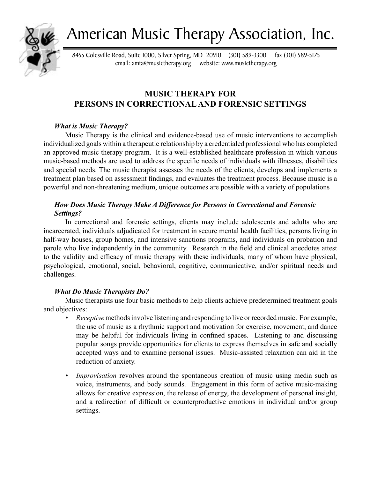

# American Music Therapy Association, Inc.

8455 Colesville Road, Suite 1000, Silver Spring, MD 20910 (301) 589-3300 fax (301) 589-5175 email: amta@musictherapy.org website: www.musictherapy.org

## **MUSIC THERAPY FOR PERSONS IN CORRECTIONAL AND FORENSIC SETTINGS**

## *What is Music Therapy?*

Music Therapy is the clinical and evidence-based use of music interventions to accomplish individualized goals within a therapeutic relationship by a credentialed professional who has completed an approved music therapy program. It is a well-established healthcare profession in which various music-based methods are used to address the specific needs of individuals with illnesses, disabilities and special needs. The music therapist assesses the needs of the clients, develops and implements a treatment plan based on assessment findings, and evaluates the treatment process. Because music is a powerful and non-threatening medium, unique outcomes are possible with a variety of populations

## *How Does Music Therapy Make A Difference for Persons in Correctional and Forensic Settings?*

In correctional and forensic settings, clients may include adolescents and adults who are incarcerated, individuals adjudicated for treatment in secure mental health facilities, persons living in half-way houses, group homes, and intensive sanctions programs, and individuals on probation and parole who live independently in the community. Research in the field and clinical anecdotes attest to the validity and efficacy of music therapy with these individuals, many of whom have physical, psychological, emotional, social, behavioral, cognitive, communicative, and/or spiritual needs and challenges.

## *What Do Music Therapists Do?*

Music therapists use four basic methods to help clients achieve predetermined treatment goals and objectives:

- *Receptive* methods involve listening and responding to live or recorded music. For example, *•* the use of music as a rhythmic support and motivation for exercise, movement, and dance may be helpful for individuals living in confined spaces. Listening to and discussing popular songs provide opportunities for clients to express themselves in safe and socially accepted ways and to examine personal issues. Music-assisted relaxation can aid in the reduction of anxiety.
- *Improvisation* revolves around the spontaneous creation of music using media such as voice, instruments, and body sounds. Engagement in this form of active music-making allows for creative expression, the release of energy, the development of personal insight, and a redirection of difficult or counterproductive emotions in individual and/or group settings.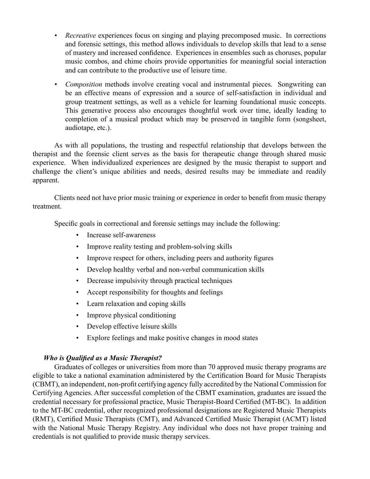- *Recreative* experiences focus on singing and playing precomposed music. In corrections and forensic settings, this method allows individuals to develop skills that lead to a sense of mastery and increased confidence. Experiences in ensembles such as choruses, popular music combos, and chime choirs provide opportunities for meaningful social interaction and can contribute to the productive use of leisure time.
- *Composition* methods involve creating vocal and instrumental pieces. Songwriting can be an effective means of expression and a source of self-satisfaction in individual and group treatment settings, as well as a vehicle for learning foundational music concepts. This generative process also encourages thoughtful work over time, ideally leading to completion of a musical product which may be preserved in tangible form (songsheet, audiotape, etc.).

As with all populations, the trusting and respectful relationship that develops between the therapist and the forensic client serves as the basis for therapeutic change through shared music experience. When individualized experiences are designed by the music therapist to support and challenge the client's unique abilities and needs, desired results may be immediate and readily apparent.

Clients need not have prior music training or experience in order to benefit from music therapy treatment.

Specific goals in correctional and forensic settings may include the following:

- Increase self-awareness •
- Improve reality testing and problem-solving skills •
- Improve respect for others, including peers and authority figures •
- Develop healthy verbal and non-verbal communication skills •
- Decrease impulsivity through practical techniques •
- Accept responsibility for thoughts and feelings •
- Learn relaxation and coping skills •
- Improve physical conditioning •
- Develop effective leisure skills
- Explore feelings and make positive changes in mood states •

### *Who is Qualified as a Music Therapist?*

Graduates of colleges or universities from more than 70 approved music therapy programs are eligible to take a national examination administered by the Certification Board for Music Therapists (CBMT), an independent, non-profit certifying agency fully accredited by the National Commission for Certifying Agencies. After successful completion of the CBMT examination, graduates are issued the credential necessary for professional practice, Music Therapist-Board Certified (MT-BC). In addition to the MT-BC credential, other recognized professional designations are Registered Music Therapists (RMT), Certified Music Therapists (CMT), and Advanced Certified Music Therapist (ACMT) listed with the National Music Therapy Registry. Any individual who does not have proper training and credentials is not qualified to provide music therapy services.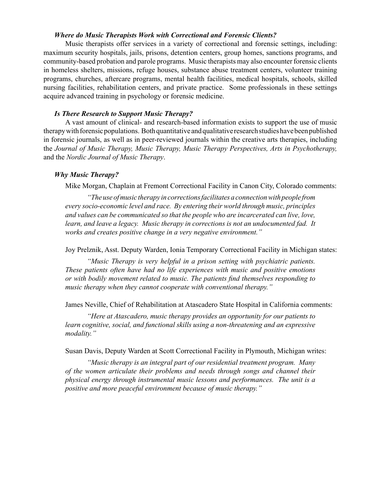#### *Where do Music Therapists Work with Correctional and Forensic Clients?*

Music therapists offer services in a variety of correctional and forensic settings, including: maximum security hospitals, jails, prisons, detention centers, group homes, sanctions programs, and community-based probation and parole programs. Music therapists may also encounter forensic clients in homeless shelters, missions, refuge houses, substance abuse treatment centers, volunteer training programs, churches, aftercare programs, mental health facilities, medical hospitals, schools, skilled nursing facilities, rehabilitation centers, and private practice. Some professionals in these settings acquire advanced training in psychology or forensic medicine.

#### *Is There Research to Support Music Therapy?*

A vast amount of clinical- and research-based information exists to support the use of music therapy with forensic populations. Both quantitative and qualitative research studies have been published in forensic journals, as well as in peer-reviewed journals within the creative arts therapies, including the *Journal of Music Therapy, Music Therapy, Music Therapy Perspectives, Arts in Psychotherapy,*  and the *Nordic Journal of Music Therapy*.

#### *Why Music Therapy?*

Mike Morgan, Chaplain at Fremont Correctional Facility in Canon City, Colorado comments:

*"The use of music therapy in corrections facilitates a connection with people from every socio-economic level and race. By entering their world through music, principles and values can be communicated so that the people who are incarcerated can live, love, learn, and leave a legacy. Music therapy in corrections is not an undocumented fad. It works and creates positive change in a very negative environment."*

Joy Prelznik, Asst. Deputy Warden, Ionia Temporary Correctional Facility in Michigan states:

*"Music Therapy is very helpful in a prison setting with psychiatric patients. These patients often have had no life experiences with music and positive emotions or with bodily movement related to music. The patients find themselves responding to music therapy when they cannot cooperate with conventional therapy."*

James Neville, Chief of Rehabilitation at Atascadero State Hospital in California comments:

*"Here at Atascadero, music therapy provides an opportunity for our patients to learn cognitive, social, and functional skills using a non-threatening and an expressive modality."*

Susan Davis, Deputy Warden at Scott Correctional Facility in Plymouth, Michigan writes:

*"Music therapy is an integral part of our residential treatment program. Many of the women articulate their problems and needs through songs and channel their physical energy through instrumental music lessons and performances. The unit is a positive and more peaceful environment because of music therapy."*